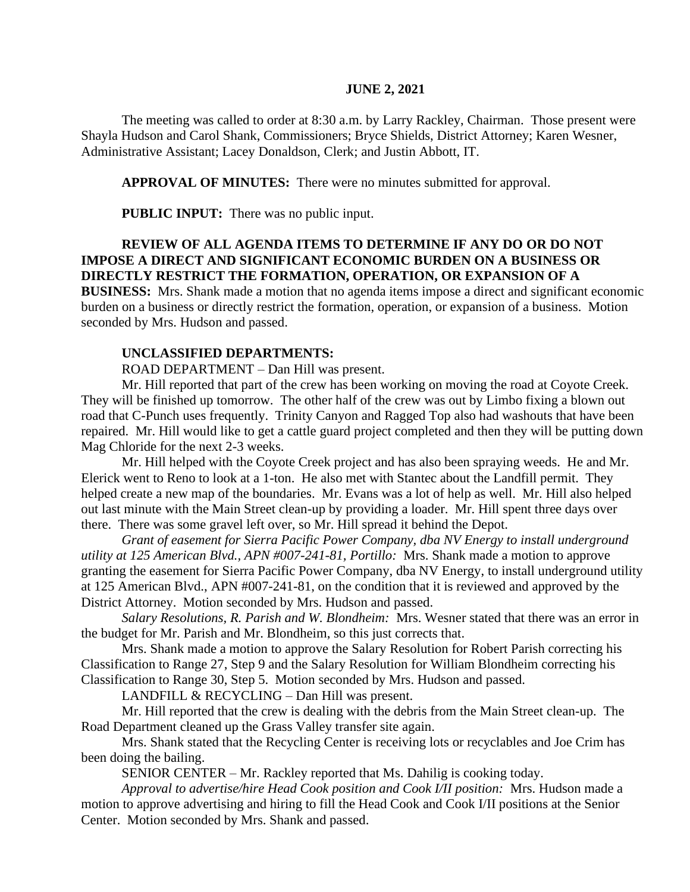#### **JUNE 2, 2021**

The meeting was called to order at 8:30 a.m. by Larry Rackley, Chairman. Those present were Shayla Hudson and Carol Shank, Commissioners; Bryce Shields, District Attorney; Karen Wesner, Administrative Assistant; Lacey Donaldson, Clerk; and Justin Abbott, IT.

**APPROVAL OF MINUTES:** There were no minutes submitted for approval.

 **PUBLIC INPUT:** There was no public input.

### **REVIEW OF ALL AGENDA ITEMS TO DETERMINE IF ANY DO OR DO NOT IMPOSE A DIRECT AND SIGNIFICANT ECONOMIC BURDEN ON A BUSINESS OR DIRECTLY RESTRICT THE FORMATION, OPERATION, OR EXPANSION OF A**

**BUSINESS:** Mrs. Shank made a motion that no agenda items impose a direct and significant economic burden on a business or directly restrict the formation, operation, or expansion of a business. Motion seconded by Mrs. Hudson and passed.

#### **UNCLASSIFIED DEPARTMENTS:**

ROAD DEPARTMENT – Dan Hill was present.

Mr. Hill reported that part of the crew has been working on moving the road at Coyote Creek. They will be finished up tomorrow. The other half of the crew was out by Limbo fixing a blown out road that C-Punch uses frequently. Trinity Canyon and Ragged Top also had washouts that have been repaired. Mr. Hill would like to get a cattle guard project completed and then they will be putting down Mag Chloride for the next 2-3 weeks.

Mr. Hill helped with the Coyote Creek project and has also been spraying weeds. He and Mr. Elerick went to Reno to look at a 1-ton. He also met with Stantec about the Landfill permit. They helped create a new map of the boundaries. Mr. Evans was a lot of help as well. Mr. Hill also helped out last minute with the Main Street clean-up by providing a loader. Mr. Hill spent three days over there. There was some gravel left over, so Mr. Hill spread it behind the Depot.

*Grant of easement for Sierra Pacific Power Company, dba NV Energy to install underground utility at 125 American Blvd., APN #007-241-81, Portillo:* Mrs. Shank made a motion to approve granting the easement for Sierra Pacific Power Company, dba NV Energy, to install underground utility at 125 American Blvd., APN #007-241-81, on the condition that it is reviewed and approved by the District Attorney. Motion seconded by Mrs. Hudson and passed.

*Salary Resolutions, R. Parish and W. Blondheim:* Mrs. Wesner stated that there was an error in the budget for Mr. Parish and Mr. Blondheim, so this just corrects that.

Mrs. Shank made a motion to approve the Salary Resolution for Robert Parish correcting his Classification to Range 27, Step 9 and the Salary Resolution for William Blondheim correcting his Classification to Range 30, Step 5. Motion seconded by Mrs. Hudson and passed.

LANDFILL & RECYCLING – Dan Hill was present.

Mr. Hill reported that the crew is dealing with the debris from the Main Street clean-up. The Road Department cleaned up the Grass Valley transfer site again.

Mrs. Shank stated that the Recycling Center is receiving lots or recyclables and Joe Crim has been doing the bailing.

SENIOR CENTER – Mr. Rackley reported that Ms. Dahilig is cooking today.

*Approval to advertise/hire Head Cook position and Cook I/II position:* Mrs. Hudson made a motion to approve advertising and hiring to fill the Head Cook and Cook I/II positions at the Senior Center. Motion seconded by Mrs. Shank and passed.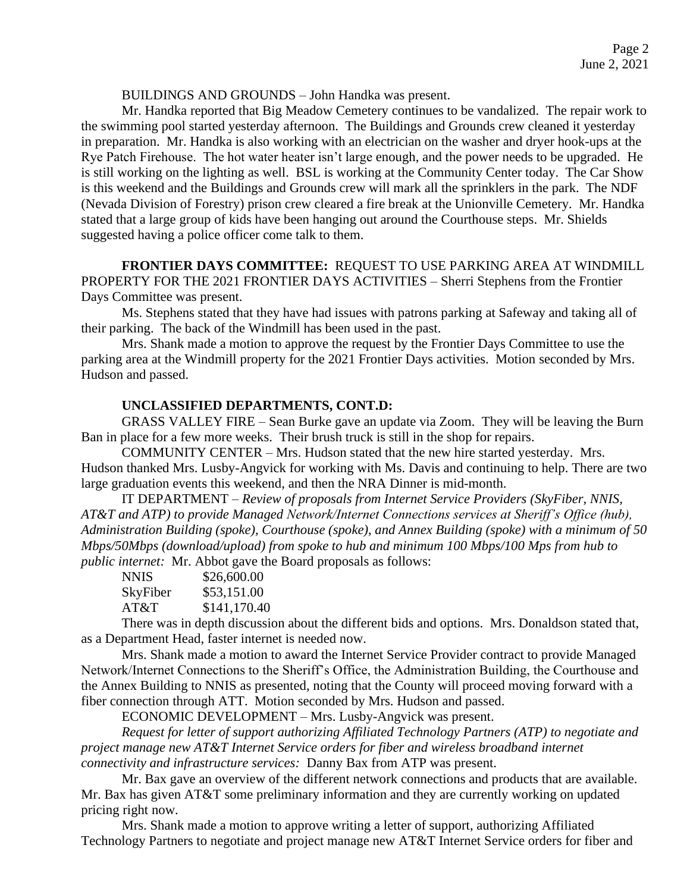BUILDINGS AND GROUNDS – John Handka was present.

Mr. Handka reported that Big Meadow Cemetery continues to be vandalized. The repair work to the swimming pool started yesterday afternoon. The Buildings and Grounds crew cleaned it yesterday in preparation. Mr. Handka is also working with an electrician on the washer and dryer hook-ups at the Rye Patch Firehouse. The hot water heater isn't large enough, and the power needs to be upgraded. He is still working on the lighting as well. BSL is working at the Community Center today. The Car Show is this weekend and the Buildings and Grounds crew will mark all the sprinklers in the park. The NDF (Nevada Division of Forestry) prison crew cleared a fire break at the Unionville Cemetery. Mr. Handka stated that a large group of kids have been hanging out around the Courthouse steps. Mr. Shields suggested having a police officer come talk to them.

**FRONTIER DAYS COMMITTEE:** REQUEST TO USE PARKING AREA AT WINDMILL PROPERTY FOR THE 2021 FRONTIER DAYS ACTIVITIES – Sherri Stephens from the Frontier Days Committee was present.

Ms. Stephens stated that they have had issues with patrons parking at Safeway and taking all of their parking. The back of the Windmill has been used in the past.

Mrs. Shank made a motion to approve the request by the Frontier Days Committee to use the parking area at the Windmill property for the 2021 Frontier Days activities. Motion seconded by Mrs. Hudson and passed.

# **UNCLASSIFIED DEPARTMENTS, CONT.D:**

GRASS VALLEY FIRE – Sean Burke gave an update via Zoom. They will be leaving the Burn Ban in place for a few more weeks. Their brush truck is still in the shop for repairs.

COMMUNITY CENTER – Mrs. Hudson stated that the new hire started yesterday. Mrs. Hudson thanked Mrs. Lusby-Angvick for working with Ms. Davis and continuing to help. There are two large graduation events this weekend, and then the NRA Dinner is mid-month.

IT DEPARTMENT – *Review of proposals from Internet Service Providers (SkyFiber, NNIS, AT&T and ATP) to provide Managed Network/Internet Connections services at Sheriff's Office (hub), Administration Building (spoke), Courthouse (spoke), and Annex Building (spoke) with a minimum of 50 Mbps/50Mbps (download/upload) from spoke to hub and minimum 100 Mbps/100 Mps from hub to public internet:* Mr. Abbot gave the Board proposals as follows:

| NNIS     | \$26,600.00  |
|----------|--------------|
| SkyFiber | \$53,151.00  |
| AT&T     | \$141,170.40 |

There was in depth discussion about the different bids and options. Mrs. Donaldson stated that, as a Department Head, faster internet is needed now.

Mrs. Shank made a motion to award the Internet Service Provider contract to provide Managed Network/Internet Connections to the Sheriff's Office, the Administration Building, the Courthouse and the Annex Building to NNIS as presented, noting that the County will proceed moving forward with a fiber connection through ATT. Motion seconded by Mrs. Hudson and passed.

ECONOMIC DEVELOPMENT – Mrs. Lusby-Angvick was present.

*Request for letter of support authorizing Affiliated Technology Partners (ATP) to negotiate and project manage new AT&T Internet Service orders for fiber and wireless broadband internet connectivity and infrastructure services:* Danny Bax from ATP was present.

Mr. Bax gave an overview of the different network connections and products that are available. Mr. Bax has given AT&T some preliminary information and they are currently working on updated pricing right now.

Mrs. Shank made a motion to approve writing a letter of support, authorizing Affiliated Technology Partners to negotiate and project manage new AT&T Internet Service orders for fiber and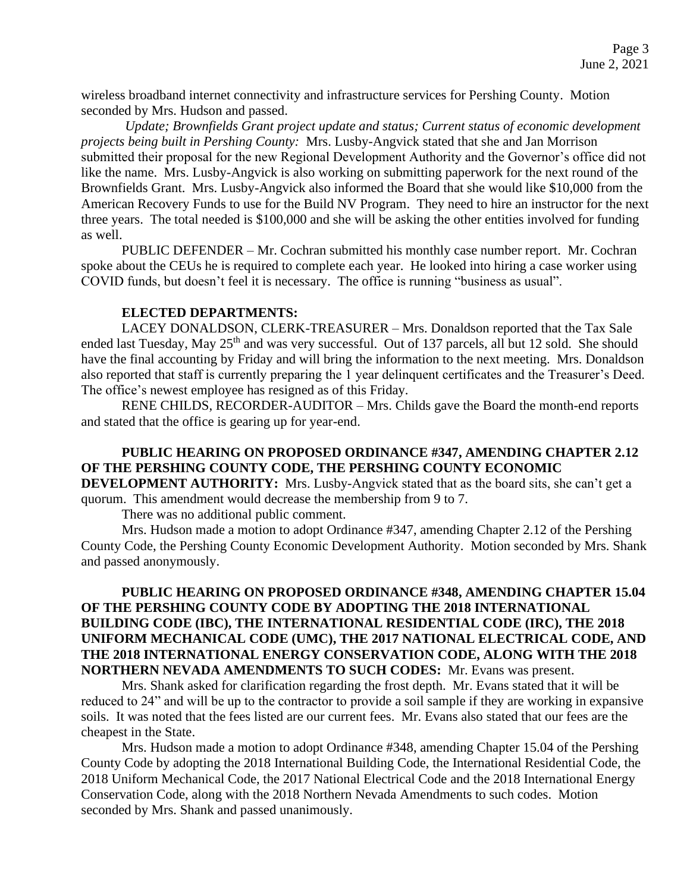wireless broadband internet connectivity and infrastructure services for Pershing County. Motion seconded by Mrs. Hudson and passed.

*Update; Brownfields Grant project update and status; Current status of economic development projects being built in Pershing County:* Mrs. Lusby-Angvick stated that she and Jan Morrison submitted their proposal for the new Regional Development Authority and the Governor's office did not like the name. Mrs. Lusby-Angvick is also working on submitting paperwork for the next round of the Brownfields Grant. Mrs. Lusby-Angvick also informed the Board that she would like \$10,000 from the American Recovery Funds to use for the Build NV Program. They need to hire an instructor for the next three years. The total needed is \$100,000 and she will be asking the other entities involved for funding as well.

PUBLIC DEFENDER – Mr. Cochran submitted his monthly case number report. Mr. Cochran spoke about the CEUs he is required to complete each year. He looked into hiring a case worker using COVID funds, but doesn't feel it is necessary. The office is running "business as usual".

### **ELECTED DEPARTMENTS:**

LACEY DONALDSON, CLERK-TREASURER – Mrs. Donaldson reported that the Tax Sale ended last Tuesday, May 25<sup>th</sup> and was very successful. Out of 137 parcels, all but 12 sold. She should have the final accounting by Friday and will bring the information to the next meeting. Mrs. Donaldson also reported that staff is currently preparing the 1 year delinquent certificates and the Treasurer's Deed. The office's newest employee has resigned as of this Friday.

RENE CHILDS, RECORDER-AUDITOR – Mrs. Childs gave the Board the month-end reports and stated that the office is gearing up for year-end.

# **PUBLIC HEARING ON PROPOSED ORDINANCE #347, AMENDING CHAPTER 2.12 OF THE PERSHING COUNTY CODE, THE PERSHING COUNTY ECONOMIC**

**DEVELOPMENT AUTHORITY:** Mrs. Lusby-Angvick stated that as the board sits, she can't get a quorum. This amendment would decrease the membership from 9 to 7.

There was no additional public comment.

Mrs. Hudson made a motion to adopt Ordinance #347, amending Chapter 2.12 of the Pershing County Code, the Pershing County Economic Development Authority. Motion seconded by Mrs. Shank and passed anonymously.

# **PUBLIC HEARING ON PROPOSED ORDINANCE #348, AMENDING CHAPTER 15.04 OF THE PERSHING COUNTY CODE BY ADOPTING THE 2018 INTERNATIONAL BUILDING CODE (IBC), THE INTERNATIONAL RESIDENTIAL CODE (IRC), THE 2018 UNIFORM MECHANICAL CODE (UMC), THE 2017 NATIONAL ELECTRICAL CODE, AND THE 2018 INTERNATIONAL ENERGY CONSERVATION CODE, ALONG WITH THE 2018 NORTHERN NEVADA AMENDMENTS TO SUCH CODES:** Mr. Evans was present.

Mrs. Shank asked for clarification regarding the frost depth. Mr. Evans stated that it will be reduced to 24" and will be up to the contractor to provide a soil sample if they are working in expansive soils. It was noted that the fees listed are our current fees. Mr. Evans also stated that our fees are the cheapest in the State.

Mrs. Hudson made a motion to adopt Ordinance #348, amending Chapter 15.04 of the Pershing County Code by adopting the 2018 International Building Code, the International Residential Code, the 2018 Uniform Mechanical Code, the 2017 National Electrical Code and the 2018 International Energy Conservation Code, along with the 2018 Northern Nevada Amendments to such codes. Motion seconded by Mrs. Shank and passed unanimously.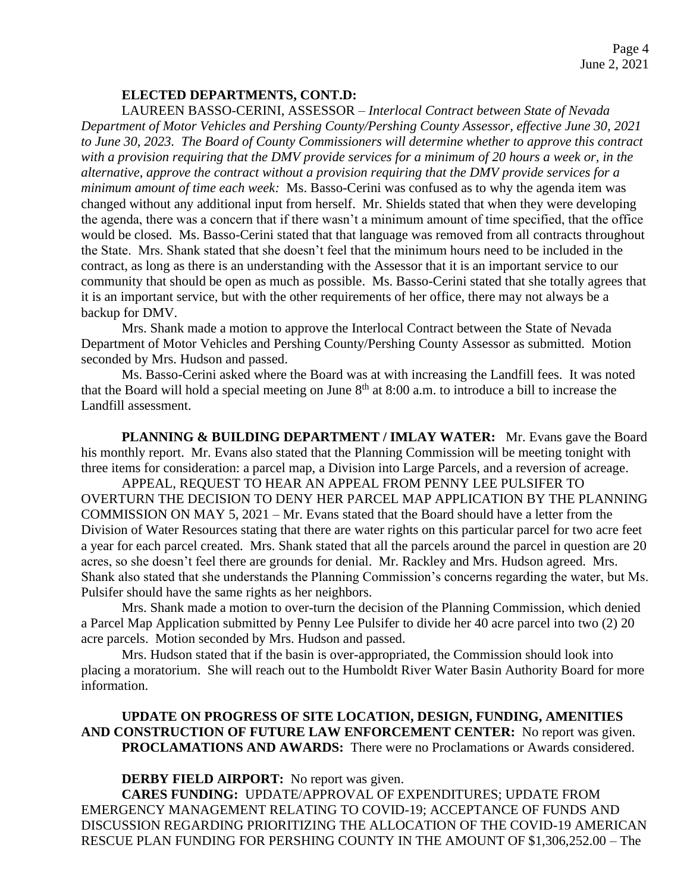# **ELECTED DEPARTMENTS, CONT.D:**

LAUREEN BASSO-CERINI, ASSESSOR – *Interlocal Contract between State of Nevada Department of Motor Vehicles and Pershing County/Pershing County Assessor, effective June 30, 2021 to June 30, 2023. The Board of County Commissioners will determine whether to approve this contract with a provision requiring that the DMV provide services for a minimum of 20 hours a week or, in the alternative, approve the contract without a provision requiring that the DMV provide services for a minimum amount of time each week:* Ms. Basso-Cerini was confused as to why the agenda item was changed without any additional input from herself. Mr. Shields stated that when they were developing the agenda, there was a concern that if there wasn't a minimum amount of time specified, that the office would be closed. Ms. Basso-Cerini stated that that language was removed from all contracts throughout the State. Mrs. Shank stated that she doesn't feel that the minimum hours need to be included in the contract, as long as there is an understanding with the Assessor that it is an important service to our community that should be open as much as possible. Ms. Basso-Cerini stated that she totally agrees that it is an important service, but with the other requirements of her office, there may not always be a backup for DMV.

Mrs. Shank made a motion to approve the Interlocal Contract between the State of Nevada Department of Motor Vehicles and Pershing County/Pershing County Assessor as submitted. Motion seconded by Mrs. Hudson and passed.

Ms. Basso-Cerini asked where the Board was at with increasing the Landfill fees. It was noted that the Board will hold a special meeting on June  $8<sup>th</sup>$  at  $8:00$  a.m. to introduce a bill to increase the Landfill assessment.

**PLANNING & BUILDING DEPARTMENT / IMLAY WATER:** Mr. Evans gave the Board his monthly report. Mr. Evans also stated that the Planning Commission will be meeting tonight with three items for consideration: a parcel map, a Division into Large Parcels, and a reversion of acreage.

APPEAL, REQUEST TO HEAR AN APPEAL FROM PENNY LEE PULSIFER TO OVERTURN THE DECISION TO DENY HER PARCEL MAP APPLICATION BY THE PLANNING COMMISSION ON MAY 5, 2021 – Mr. Evans stated that the Board should have a letter from the Division of Water Resources stating that there are water rights on this particular parcel for two acre feet a year for each parcel created. Mrs. Shank stated that all the parcels around the parcel in question are 20 acres, so she doesn't feel there are grounds for denial. Mr. Rackley and Mrs. Hudson agreed. Mrs. Shank also stated that she understands the Planning Commission's concerns regarding the water, but Ms. Pulsifer should have the same rights as her neighbors.

Mrs. Shank made a motion to over-turn the decision of the Planning Commission, which denied a Parcel Map Application submitted by Penny Lee Pulsifer to divide her 40 acre parcel into two (2) 20 acre parcels. Motion seconded by Mrs. Hudson and passed.

Mrs. Hudson stated that if the basin is over-appropriated, the Commission should look into placing a moratorium. She will reach out to the Humboldt River Water Basin Authority Board for more information.

# **UPDATE ON PROGRESS OF SITE LOCATION, DESIGN, FUNDING, AMENITIES AND CONSTRUCTION OF FUTURE LAW ENFORCEMENT CENTER:** No report was given. **PROCLAMATIONS AND AWARDS:** There were no Proclamations or Awards considered.

### **DERBY FIELD AIRPORT:** No report was given.

**CARES FUNDING:** UPDATE/APPROVAL OF EXPENDITURES; UPDATE FROM EMERGENCY MANAGEMENT RELATING TO COVID-19; ACCEPTANCE OF FUNDS AND DISCUSSION REGARDING PRIORITIZING THE ALLOCATION OF THE COVID-19 AMERICAN RESCUE PLAN FUNDING FOR PERSHING COUNTY IN THE AMOUNT OF \$1,306,252.00 – The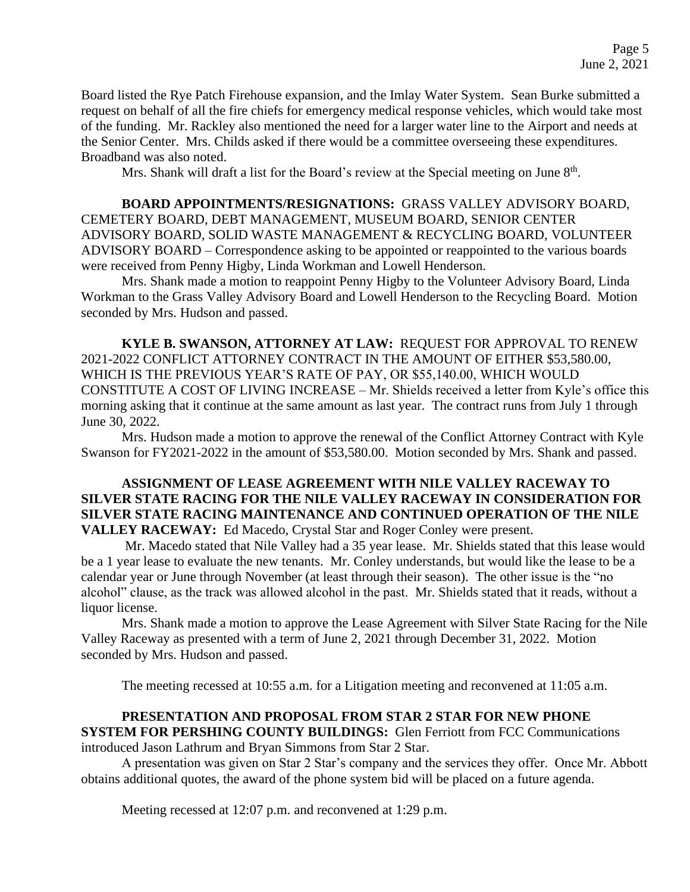Board listed the Rye Patch Firehouse expansion, and the Imlay Water System. Sean Burke submitted a request on behalf of all the fire chiefs for emergency medical response vehicles, which would take most of the funding. Mr. Rackley also mentioned the need for a larger water line to the Airport and needs at the Senior Center. Mrs. Childs asked if there would be a committee overseeing these expenditures. Broadband was also noted.

Mrs. Shank will draft a list for the Board's review at the Special meeting on June 8<sup>th</sup>.

**BOARD APPOINTMENTS/RESIGNATIONS:** GRASS VALLEY ADVISORY BOARD, CEMETERY BOARD, DEBT MANAGEMENT, MUSEUM BOARD, SENIOR CENTER ADVISORY BOARD, SOLID WASTE MANAGEMENT & RECYCLING BOARD, VOLUNTEER ADVISORY BOARD – Correspondence asking to be appointed or reappointed to the various boards were received from Penny Higby, Linda Workman and Lowell Henderson.

Mrs. Shank made a motion to reappoint Penny Higby to the Volunteer Advisory Board, Linda Workman to the Grass Valley Advisory Board and Lowell Henderson to the Recycling Board. Motion seconded by Mrs. Hudson and passed.

**KYLE B. SWANSON, ATTORNEY AT LAW:** REQUEST FOR APPROVAL TO RENEW 2021-2022 CONFLICT ATTORNEY CONTRACT IN THE AMOUNT OF EITHER \$53,580.00, WHICH IS THE PREVIOUS YEAR'S RATE OF PAY, OR \$55,140.00, WHICH WOULD CONSTITUTE A COST OF LIVING INCREASE – Mr. Shields received a letter from Kyle's office this morning asking that it continue at the same amount as last year. The contract runs from July 1 through June 30, 2022.

Mrs. Hudson made a motion to approve the renewal of the Conflict Attorney Contract with Kyle Swanson for FY2021-2022 in the amount of \$53,580.00. Motion seconded by Mrs. Shank and passed.

# **ASSIGNMENT OF LEASE AGREEMENT WITH NILE VALLEY RACEWAY TO SILVER STATE RACING FOR THE NILE VALLEY RACEWAY IN CONSIDERATION FOR SILVER STATE RACING MAINTENANCE AND CONTINUED OPERATION OF THE NILE VALLEY RACEWAY:** Ed Macedo, Crystal Star and Roger Conley were present.

Mr. Macedo stated that Nile Valley had a 35 year lease. Mr. Shields stated that this lease would be a 1 year lease to evaluate the new tenants. Mr. Conley understands, but would like the lease to be a calendar year or June through November (at least through their season). The other issue is the "no alcohol" clause, as the track was allowed alcohol in the past. Mr. Shields stated that it reads, without a liquor license.

Mrs. Shank made a motion to approve the Lease Agreement with Silver State Racing for the Nile Valley Raceway as presented with a term of June 2, 2021 through December 31, 2022. Motion seconded by Mrs. Hudson and passed.

The meeting recessed at 10:55 a.m. for a Litigation meeting and reconvened at 11:05 a.m.

# **PRESENTATION AND PROPOSAL FROM STAR 2 STAR FOR NEW PHONE**

**SYSTEM FOR PERSHING COUNTY BUILDINGS:** Glen Ferriott from FCC Communications introduced Jason Lathrum and Bryan Simmons from Star 2 Star.

A presentation was given on Star 2 Star's company and the services they offer. Once Mr. Abbott obtains additional quotes, the award of the phone system bid will be placed on a future agenda.

Meeting recessed at 12:07 p.m. and reconvened at 1:29 p.m.